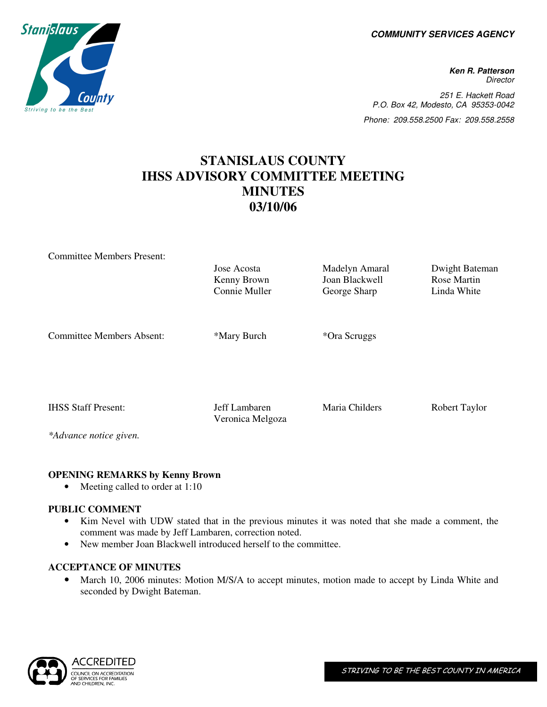**COMMUNITY SERVICES AGENCY** 

**Ken R. Patterson Director** 251 E. Hackett Road P.O. Box 42, Modesto, CA 95353-0042 Phone: 209.558.2500 Fax: 209.558.2558

# **STANISLAUS COUNTY IHSS ADVISORY COMMITTEE MEETING MINUTES 03/10/06**

| <b>Committee Members Present:</b> |                  |                |                |
|-----------------------------------|------------------|----------------|----------------|
|                                   | Jose Acosta      | Madelyn Amaral | Dwight Bateman |
|                                   | Kenny Brown      | Joan Blackwell | Rose Martin    |
|                                   | Connie Muller    | George Sharp   | Linda White    |
|                                   |                  |                |                |
|                                   |                  |                |                |
| <b>Committee Members Absent:</b>  | *Mary Burch      | *Ora Scruggs   |                |
|                                   |                  |                |                |
|                                   |                  |                |                |
|                                   |                  |                |                |
|                                   |                  |                |                |
| <b>IHSS Staff Present:</b>        | Jeff Lambaren    | Maria Childers | Robert Taylor  |
|                                   | Veronica Melgoza |                |                |
|                                   |                  |                |                |

*\*Advance notice given.* 

# **OPENING REMARKS by Kenny Brown**

• Meeting called to order at 1:10

#### **PUBLIC COMMENT**

- Kim Nevel with UDW stated that in the previous minutes it was noted that she made a comment, the comment was made by Jeff Lambaren, correction noted.
- New member Joan Blackwell introduced herself to the committee.

# **ACCEPTANCE OF MINUTES**

• March 10, 2006 minutes: Motion M/S/A to accept minutes, motion made to accept by Linda White and seconded by Dwight Bateman.



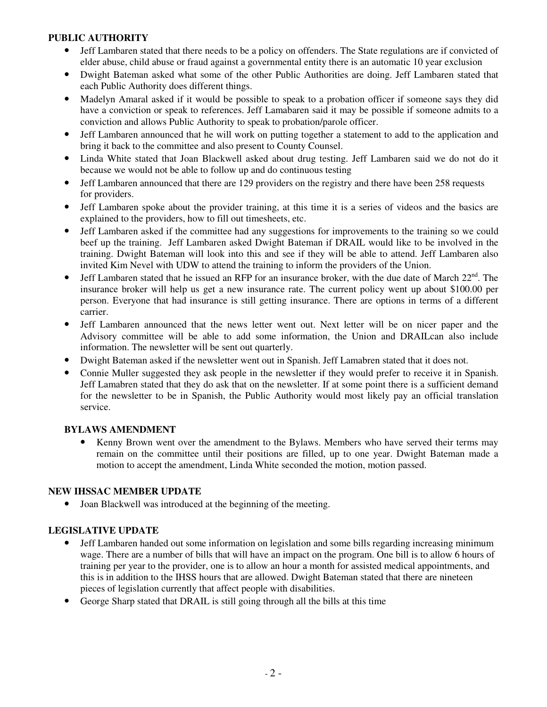#### **PUBLIC AUTHORITY**

- Jeff Lambaren stated that there needs to be a policy on offenders. The State regulations are if convicted of elder abuse, child abuse or fraud against a governmental entity there is an automatic 10 year exclusion
- Dwight Bateman asked what some of the other Public Authorities are doing. Jeff Lambaren stated that each Public Authority does different things.
- Madelyn Amaral asked if it would be possible to speak to a probation officer if someone says they did have a conviction or speak to references. Jeff Lamabaren said it may be possible if someone admits to a conviction and allows Public Authority to speak to probation/parole officer.
- Jeff Lambaren announced that he will work on putting together a statement to add to the application and bring it back to the committee and also present to County Counsel.
- Linda White stated that Joan Blackwell asked about drug testing. Jeff Lambaren said we do not do it because we would not be able to follow up and do continuous testing
- Jeff Lambaren announced that there are 129 providers on the registry and there have been 258 requests for providers.
- Jeff Lambaren spoke about the provider training, at this time it is a series of videos and the basics are explained to the providers, how to fill out timesheets, etc.
- Jeff Lambaren asked if the committee had any suggestions for improvements to the training so we could beef up the training. Jeff Lambaren asked Dwight Bateman if DRAIL would like to be involved in the training. Dwight Bateman will look into this and see if they will be able to attend. Jeff Lambaren also invited Kim Nevel with UDW to attend the training to inform the providers of the Union.
- Jeff Lambaren stated that he issued an RFP for an insurance broker, with the due date of March  $22<sup>nd</sup>$ . The insurance broker will help us get a new insurance rate. The current policy went up about \$100.00 per person. Everyone that had insurance is still getting insurance. There are options in terms of a different carrier.
- Jeff Lambaren announced that the news letter went out. Next letter will be on nicer paper and the Advisory committee will be able to add some information, the Union and DRAILcan also include information. The newsletter will be sent out quarterly.
- Dwight Bateman asked if the newsletter went out in Spanish. Jeff Lamabren stated that it does not.
- Connie Muller suggested they ask people in the newsletter if they would prefer to receive it in Spanish. Jeff Lamabren stated that they do ask that on the newsletter. If at some point there is a sufficient demand for the newsletter to be in Spanish, the Public Authority would most likely pay an official translation service.

# **BYLAWS AMENDMENT**

Kenny Brown went over the amendment to the Bylaws. Members who have served their terms may remain on the committee until their positions are filled, up to one year. Dwight Bateman made a motion to accept the amendment, Linda White seconded the motion, motion passed.

#### **NEW IHSSAC MEMBER UPDATE**

• Joan Blackwell was introduced at the beginning of the meeting.

# **LEGISLATIVE UPDATE**

- Jeff Lambaren handed out some information on legislation and some bills regarding increasing minimum wage. There are a number of bills that will have an impact on the program. One bill is to allow 6 hours of training per year to the provider, one is to allow an hour a month for assisted medical appointments, and this is in addition to the IHSS hours that are allowed. Dwight Bateman stated that there are nineteen pieces of legislation currently that affect people with disabilities.
- George Sharp stated that DRAIL is still going through all the bills at this time